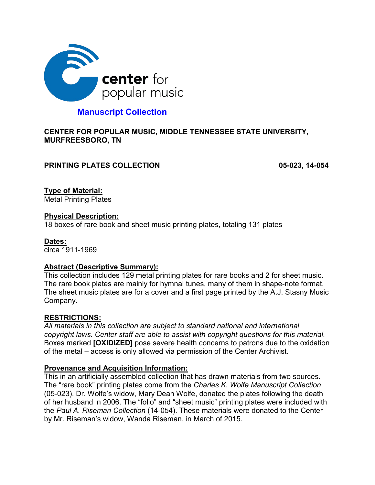

# **Manuscript Collection**

### **CENTER FOR POPULAR MUSIC, MIDDLE TENNESSEE STATE UNIVERSITY, MURFREESBORO, TN**

### **PRINTING PLATES COLLECTION** 05-023, 14-054

**Type of Material:** 

Metal Printing Plates

### **Physical Description:**

18 boxes of rare book and sheet music printing plates, totaling 131 plates

### **Dates:**

circa 1911-1969

### **Abstract (Descriptive Summary):**

This collection includes 129 metal printing plates for rare books and 2 for sheet music. The rare book plates are mainly for hymnal tunes, many of them in shape-note format. The sheet music plates are for a cover and a first page printed by the A.J. Stasny Music Company.

## **RESTRICTIONS:**

*All materials in this collection are subject to standard national and international copyright laws. Center staff are able to assist with copyright questions for this material.* Boxes marked **[OXIDIZED]** pose severe health concerns to patrons due to the oxidation of the metal – access is only allowed via permission of the Center Archivist.

## **Provenance and Acquisition Information:**

This in an artificially assembled collection that has drawn materials from two sources. The "rare book" printing plates come from the *Charles K. Wolfe Manuscript Collection* (05-023). Dr. Wolfe's widow, Mary Dean Wolfe, donated the plates following the death of her husband in 2006. The "folio" and "sheet music" printing plates were included with the *Paul A. Riseman Collection* (14-054). These materials were donated to the Center by Mr. Riseman's widow, Wanda Riseman, in March of 2015.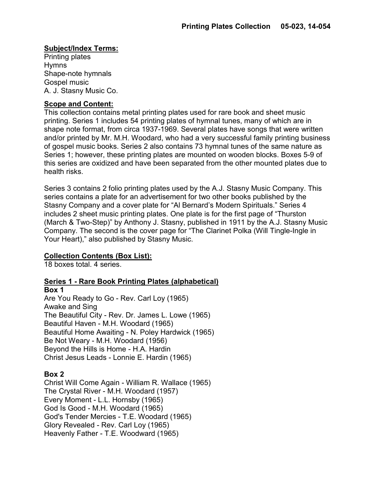## **Subject/Index Terms:**

Printing plates Hymns Shape-note hymnals Gospel music A. J. Stasny Music Co.

### **Scope and Content:**

This collection contains metal printing plates used for rare book and sheet music printing. Series 1 includes 54 printing plates of hymnal tunes, many of which are in shape note format, from circa 1937-1969. Several plates have songs that were written and/or printed by Mr. M.H. Woodard, who had a very successful family printing business of gospel music books. Series 2 also contains 73 hymnal tunes of the same nature as Series 1; however, these printing plates are mounted on wooden blocks. Boxes 5-9 of this series are oxidized and have been separated from the other mounted plates due to health risks.

Series 3 contains 2 folio printing plates used by the A.J. Stasny Music Company. This series contains a plate for an advertisement for two other books published by the Stasny Company and a cover plate for "Al Bernard's Modern Spirituals." Series 4 includes 2 sheet music printing plates. One plate is for the first page of "Thurston (March & Two-Step)" by Anthony J. Stasny, published in 1911 by the A.J. Stasny Music Company. The second is the cover page for "The Clarinet Polka (Will Tingle-Ingle in Your Heart)," also published by Stasny Music.

## **Collection Contents (Box List):**

18 boxes total. 4 series.

## **Series 1 - Rare Book Printing Plates (alphabetical)**

**Box 1** Are You Ready to Go - Rev. Carl Loy (1965) Awake and Sing The Beautiful City - Rev. Dr. James L. Lowe (1965) Beautiful Haven - M.H. Woodard (1965) Beautiful Home Awaiting - N. Poley Hardwick (1965) Be Not Weary - M.H. Woodard (1956) Beyond the Hills is Home - H.A. Hardin Christ Jesus Leads - Lonnie E. Hardin (1965)

### **Box 2**

Christ Will Come Again - William R. Wallace (1965) The Crystal River - M.H. Woodard (1957) Every Moment - L.L. Hornsby (1965) God Is Good - M.H. Woodard (1965) God's Tender Mercies - T.E. Woodard (1965) Glory Revealed - Rev. Carl Loy (1965) Heavenly Father - T.E. Woodward (1965)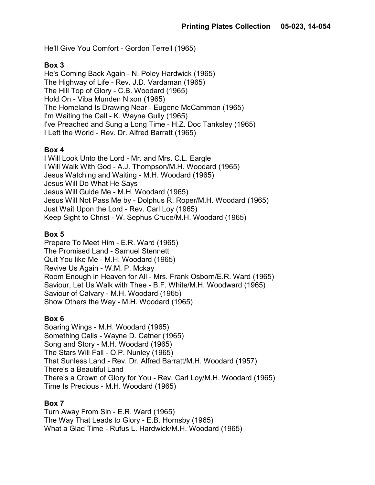He'll Give You Comfort - Gordon Terrell (1965)

### **Box 3**

He's Coming Back Again - N. Poley Hardwick (1965) The Highway of Life - Rev. J.D. Vardaman (1965) The Hill Top of Glory - C.B. Woodard (1965) Hold On - Viba Munden Nixon (1965) The Homeland Is Drawing Near - Eugene McCammon (1965) I'm Waiting the Call - K. Wayne Gully (1965) I've Preached and Sung a Long Time - H.Z. Doc Tanksley (1965) I Left the World - Rev. Dr. Alfred Barratt (1965)

### **Box 4**

I Will Look Unto the Lord - Mr. and Mrs. C.L. Eargle I Will Walk With God - A.J. Thompson/M.H. Woodard (1965) Jesus Watching and Waiting - M.H. Woodard (1965) Jesus Will Do What He Says Jesus Will Guide Me - M.H. Woodard (1965) Jesus Will Not Pass Me by - Dolphus R. Roper/M.H. Woodard (1965) Just Wait Upon the Lord - Rev. Carl Loy (1965) Keep Sight to Christ - W. Sephus Cruce/M.H. Woodard (1965)

### **Box 5**

Prepare To Meet Him - E.R. Ward (1965) The Promised Land - Samuel Stennett Quit You like Me - M.H. Woodard (1965) Revive Us Again - W.M. P. Mckay Room Enough in Heaven for All - Mrs. Frank Osborn/E.R. Ward (1965) Saviour, Let Us Walk with Thee - B.F. White/M.H. Woodward (1965) Saviour of Calvary - M.H. Woodard (1965) Show Others the Way - M.H. Woodard (1965)

### **Box 6**

Soaring Wings - M.H. Woodard (1965) Something Calls - Wayne D. Catner (1965) Song and Story - M.H. Woodard (1965) The Stars Will Fall - O.P. Nunley (1965) That Sunless Land - Rev. Dr. Alfred Barratt/M.H. Woodard (1957) There's a Beautiful Land There's a Crown of Glory for You - Rev. Carl Loy/M.H. Woodard (1965) Time Is Precious - M.H. Woodard (1965)

## **Box 7**

Turn Away From Sin - E.R. Ward (1965) The Way That Leads to Glory - E.B. Hornsby (1965) What a Glad Time - Rufus L. Hardwick/M.H. Woodard (1965)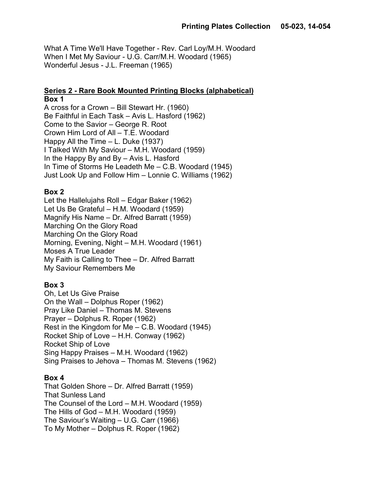What A Time We'll Have Together - Rev. Carl Loy/M.H. Woodard When I Met My Saviour - U.G. Carr/M.H. Woodard (1965) Wonderful Jesus - J.L. Freeman (1965)

### **Series 2 - Rare Book Mounted Printing Blocks (alphabetical) Box 1**

A cross for a Crown – Bill Stewart Hr. (1960) Be Faithful in Each Task – Avis L. Hasford (1962) Come to the Savior – George R. Root Crown Him Lord of All – T.E. Woodard Happy All the Time – L. Duke (1937) I Talked With My Saviour – M.H. Woodard (1959) In the Happy By and By – Avis L. Hasford In Time of Storms He Leadeth Me – C.B. Woodard (1945) Just Look Up and Follow Him – Lonnie C. Williams (1962)

## **Box 2**

Let the Hallelujahs Roll – Edgar Baker (1962) Let Us Be Grateful – H.M. Woodard (1959) Magnify His Name – Dr. Alfred Barratt (1959) Marching On the Glory Road Marching On the Glory Road Morning, Evening, Night – M.H. Woodard (1961) Moses A True Leader My Faith is Calling to Thee – Dr. Alfred Barratt My Saviour Remembers Me

# **Box 3**

Oh, Let Us Give Praise On the Wall – Dolphus Roper (1962) Pray Like Daniel – Thomas M. Stevens Prayer – Dolphus R. Roper (1962) Rest in the Kingdom for Me – C.B. Woodard (1945) Rocket Ship of Love – H.H. Conway (1962) Rocket Ship of Love Sing Happy Praises – M.H. Woodard (1962) Sing Praises to Jehova – Thomas M. Stevens (1962)

# **Box 4**

That Golden Shore – Dr. Alfred Barratt (1959) That Sunless Land The Counsel of the Lord – M.H. Woodard (1959) The Hills of God – M.H. Woodard (1959) The Saviour's Waiting – U.G. Carr (1966) To My Mother – Dolphus R. Roper (1962)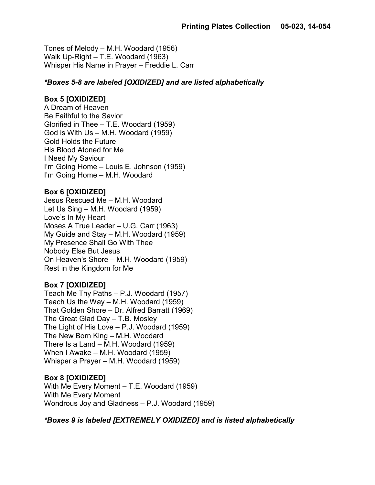Tones of Melody – M.H. Woodard (1956) Walk Up-Right – T.E. Woodard (1963) Whisper His Name in Prayer – Freddie L. Carr

### *\*Boxes 5-8 are labeled [OXIDIZED] and are listed alphabetically*

### **Box 5 [OXIDIZED]**

A Dream of Heaven Be Faithful to the Savior Glorified in Thee – T.E. Woodard (1959) God is With Us – M.H. Woodard (1959) Gold Holds the Future His Blood Atoned for Me I Need My Saviour I'm Going Home – Louis E. Johnson (1959) I'm Going Home – M.H. Woodard

### **Box 6 [OXIDIZED]**

Jesus Rescued Me – M.H. Woodard Let Us Sing – M.H. Woodard (1959) Love's In My Heart Moses A True Leader – U.G. Carr (1963) My Guide and Stay – M.H. Woodard (1959) My Presence Shall Go With Thee Nobody Else But Jesus On Heaven's Shore – M.H. Woodard (1959) Rest in the Kingdom for Me

## **Box 7 [OXIDIZED]**

Teach Me Thy Paths – P.J. Woodard (1957) Teach Us the Way – M.H. Woodard (1959) That Golden Shore – Dr. Alfred Barratt (1969) The Great Glad Day – T.B. Mosley The Light of His Love – P.J. Woodard (1959) The New Born King – M.H. Woodard There Is a Land – M.H. Woodard (1959) When I Awake – M.H. Woodard (1959) Whisper a Prayer – M.H. Woodard (1959)

## **Box 8 [OXIDIZED]**

With Me Every Moment – T.E. Woodard (1959) With Me Every Moment Wondrous Joy and Gladness – P.J. Woodard (1959)

## *\*Boxes 9 is labeled [EXTREMELY OXIDIZED] and is listed alphabetically*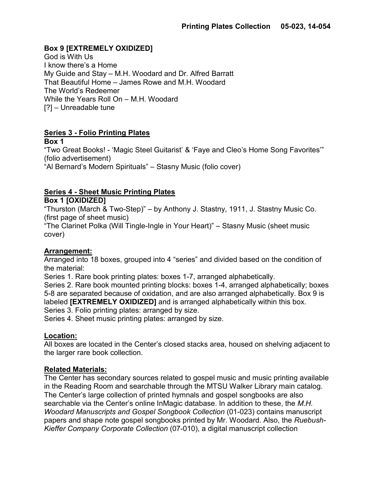## **Box 9 [EXTREMELY OXIDIZED]**

God is With Us I know there's a Home My Guide and Stay – M.H. Woodard and Dr. Alfred Barratt That Beautiful Home – James Rowe and M.H. Woodard The World's Redeemer While the Years Roll On – M.H. Woodard [?] – Unreadable tune

## **Series 3 - Folio Printing Plates**

**Box 1**

"Two Great Books! - 'Magic Steel Guitarist' & 'Faye and Cleo's Home Song Favorites'" (folio advertisement) "Al Bernard's Modern Spirituals" – Stasny Music (folio cover)

## **Series 4 - Sheet Music Printing Plates**

## **Box 1 [OXIDIZED]**

"Thurston (March & Two-Step)" – by Anthony J. Stastny, 1911, J. Stastny Music Co. (first page of sheet music)

"The Clarinet Polka (Will Tingle-Ingle in Your Heart)" – Stasny Music (sheet music cover)

## **Arrangement:**

Arranged into 18 boxes, grouped into 4 "series" and divided based on the condition of the material:

Series 1. Rare book printing plates: boxes 1-7, arranged alphabetically.

Series 2. Rare book mounted printing blocks: boxes 1-4, arranged alphabetically; boxes 5-8 are separated because of oxidation, and are also arranged alphabetically. Box 9 is labeled **[EXTREMELY OXIDIZED]** and is arranged alphabetically within this box. Series 3. Folio printing plates: arranged by size.

Series 4. Sheet music printing plates: arranged by size.

## **Location:**

All boxes are located in the Center's closed stacks area, housed on shelving adjacent to the larger rare book collection.

## **Related Materials:**

The Center has secondary sources related to gospel music and music printing available in the Reading Room and searchable through the MTSU Walker Library main catalog. The Center's large collection of printed hymnals and gospel songbooks are also searchable via the Center's online InMagic database. In addition to these, the *M.H. Woodard Manuscripts and Gospel Songbook Collection* (01-023) contains manuscript papers and shape note gospel songbooks printed by Mr. Woodard. Also, the *Ruebush-Kieffer Company Corporate Collection* (07-010), a digital manuscript collection